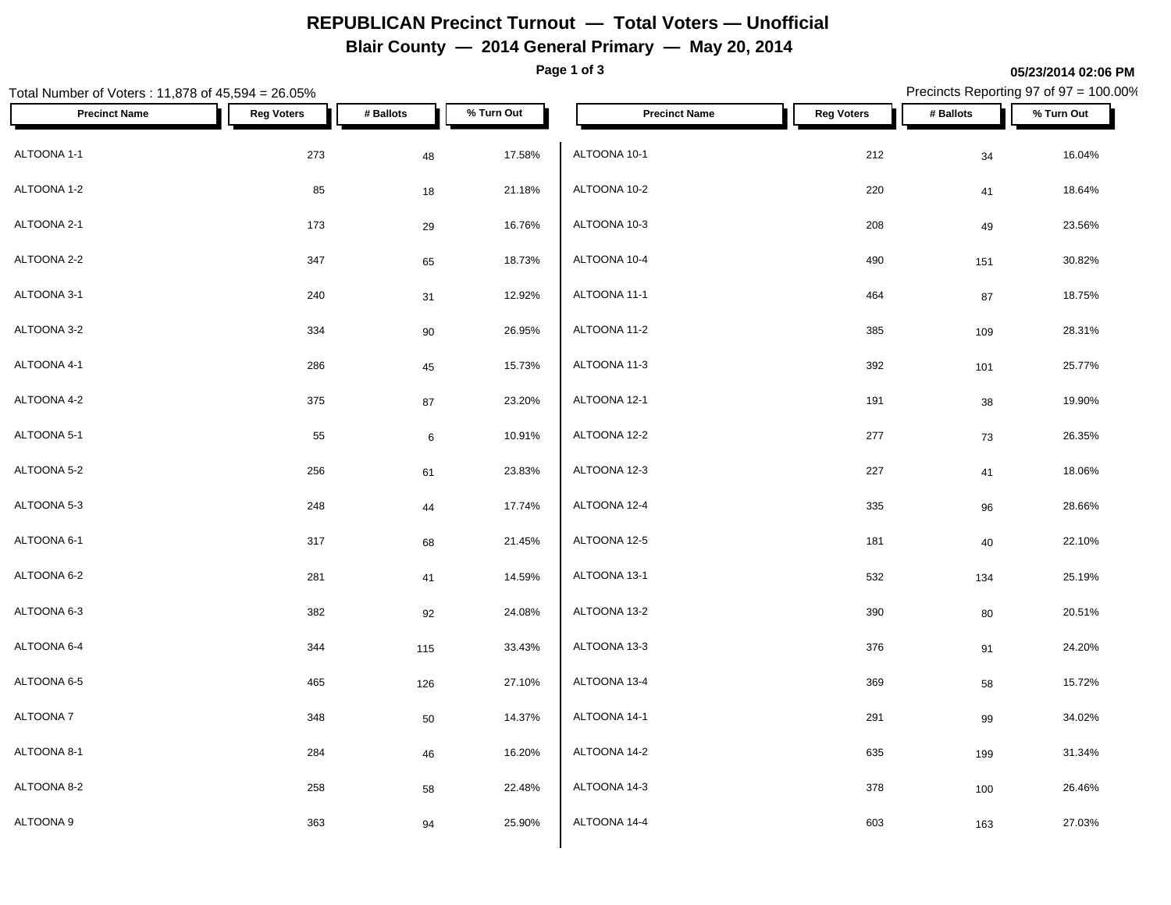## **REPUBLICAN Precinct Turnout — Total Voters — Unofficial**

#### **Blair County — 2014 General Primary — May 20, 2014**

**Page 1 of 3**

**05/23/2014 02:06 PM**

#### Total Number of Voters : 11,878 of 45,594 = 26.05% Precincts Reporting 97 of 97 = 100.00% **Precinct Name Reg Voters # Ballots % Turn Out Precinct Name Reg Voters # Ballots % Turn Out** ALTOONA 1-1 273 48 17.58% ALTOONA 1-2 85 18 21.18% ALTOONA 2-1 173 29 16.76% ALTOONA 2-2  $347$   $65$   $18.73\%$   $ALT$   $ALT$   $ALT$ ALTOONA 3-1 240 31 12.92% ALTOONA 3-2 334 90 26.95% ALTOONA 4-1 286 45 15.73% ALTOONA 4-2 375 87 23.20% ALTOONA 5-1 55 6 10.91% ALTOONA 5-2 256 61 23.83% ALTOONA 5-3 248 44 17.74% ALTOONA 6-1 317 68 21.45% ALTOONA 6-2 281 41 14.59% ALTOONA 6-3 382 92 24.08% ALTOONA 6-4 344 115 33.43% ALTOONA 6-5 465 126 27.10% ALTOONA 7 348 50 14.37%  $\textsf{ALTOONA 8-1} \quad \textcolor{red}{\textsf{A}\textsf{LTOONA 14-2}} \quad \textcolor{red}{\textsf{284}} \quad \textcolor{red}{\textsf{46}} \quad \textcolor{red}{\textsf{46}} \quad \textcolor{red}{\textsf{16.20\%}} \quad \textcolor{red}{\textsf{A}\textsf{LTOONA 14-2}}$ ALTOONA 8-2 258 58 22.48% ALTOONA 9 363 94 25.90%  $ALTOONA$  10-1 212 34 16.04% ALTOONA 10-2 220 41 18.64% ALTOONA 10-3 208 49 23.56% ALTOONA 10-4 490 151 30.82% ALTOONA 11-1 464 87 18.75% ALTOONA 11-2 385 109 28.31% ALTOONA 11-3 392 101 25.77% ALTOONA 12-1 191 38 19.90% ALTOONA 12-2 277 73 26.35% ALTOONA 12-3 227 41 18.06%  $\rm ALTOON$ A 12-4  $\rm 335$   $\rm 96$   $\rm 28.66\%$ ALTOONA 12-5 181 40 22.10% ALTOONA 13-1 532 134 25.19%  $\rm ALTOONA\ 13-2$   $\rm 390$   $\rm 80$   $\rm 20.51\%$ ALTOONA 13-3 376 91 24.20% ALTOONA 13-4 369 58 15.72% ALTOONA 14-1 291 99 34.02% ALTOONA 14-2 635 199 31.34% ALTOONA 14-3 378 100 26.46% ALTOONA 14-4 603 163 27.03%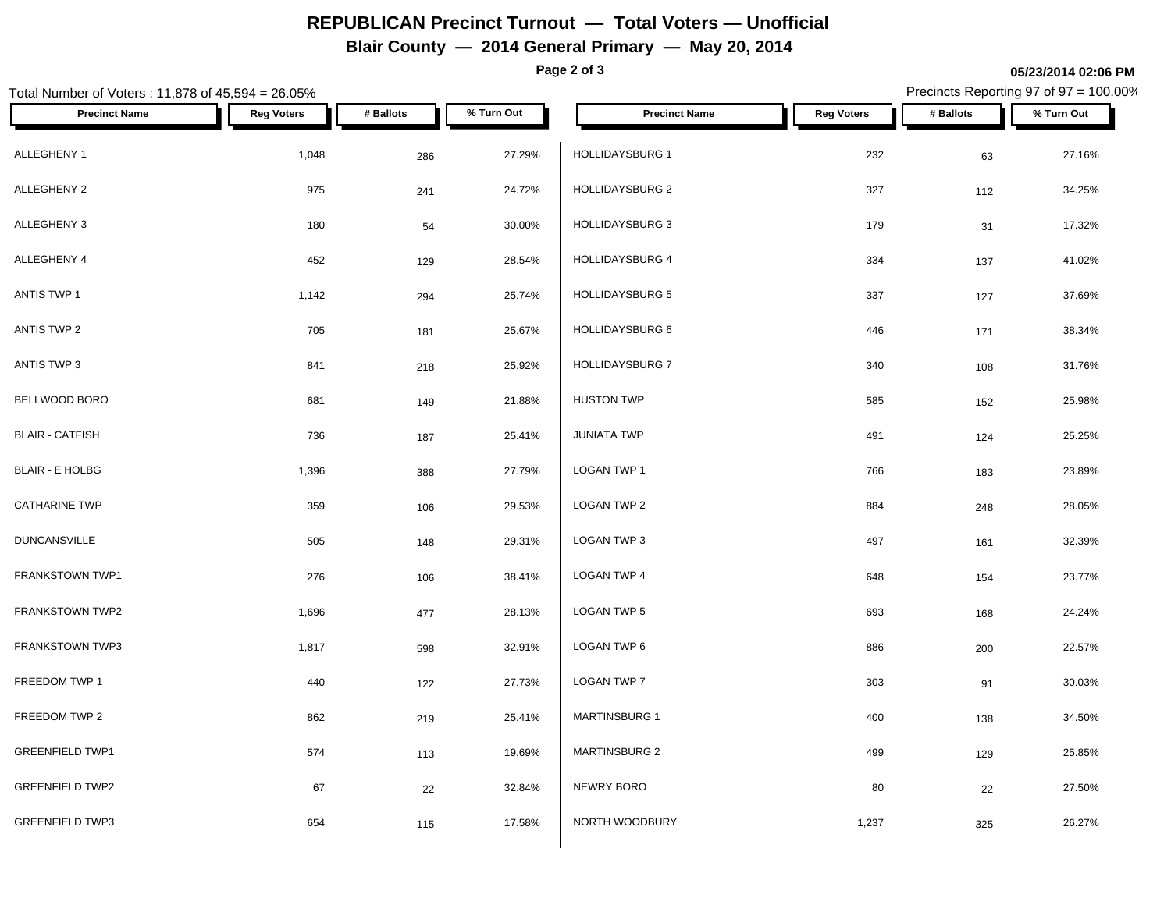# **REPUBLICAN Precinct Turnout — Total Voters — Unofficial**

**Blair County — 2014 General Primary — May 20, 2014**

**Page 2 of 3**

### Total Number of Voters : 11,878 of 45,594 = 26.05% Precincts Reporting 97 of 97 = 100.00% **Precinct Name Reg Voters # Ballots % Turn Out Precinct Name Reg Voters # Ballots % Turn Out** ALLEGHENY 1 1,048 286 27.29% HOLLIDAYSBURG 1 ALLEGHENY 2 975 24.4 24.72% | HOLLIDAYSBURG 2 327 112 34.25% ALLEGHENY 3 180 <sub>54</sub> 30.00% | HOLLIDAYSBURG 3 179 31 17.32% ALLEGHENY 4 452 129 28.54% HOLLIDAYSBURG 4 ANTIS TWP 1 1,142 294 25.74% HOLLIDAYSBURG 5 337 127 37.69% ANTIS TWP 2 705 181 25.67% HOLLIDAYSBURG 6 446 171 38.34% ANTIS TWP 3 841 841 218 218 25.92% HOLLIDAYSBURG 7 BELLWOOD BORO 681 149 21.88% BLAIR - CATFISH 736 187 25.41% BLAIR - E HOLBG 1,396 388 27.79% LOGAN TWP 1  $\textsf{CATHARINE}$  TWP  $\begin{array}{ccccccc} 359 & & & & 106 & & & 29.53\% & & \textsf{LOGAN} \end{array}$  LOGAN TWP 2 DUNCANSVILLE 505 148 29.31% FRANKSTOWN TWP1 276 276 106 38.41% LOGAN TWP 4 FRANKSTOWN TWP2 1,696 477 28.13% LOGAN TWP 5 FRANKSTOWN TWP3 1,817 598 32.91% LOGAN TWP 6 FREEDOM TWP 1 440 122 27.73% LOGAN TWP 7 FREEDOM TWP 2 862 219 25.41% MARTINSBURG 1 GREENFIELD TWP1 **574** 574 113 19.69% MARTINSBURG 2 GREENFIELD TWP2 67 67 22 32.84% NEWRY BORO GREENFIELD TWP3 654 115 17.58% NORTH WOODBURY  $HOLLIDAYSBURG 1$   $232$   $63$   $27.16\%$ HOLLIDAYSBURG 4 334 137 41.02% HOLLIDAYSBURG 7 340 108 31.76% HUSTON TWP 585 152 25.98%  $JUNIATA$  TWP  $491$   $124$   $25.25\%$ LOGAN TWP 1 766 183 23.89% LOGAN TWP 2 884 248 28.05% LOGAN TWP 3 497 161 32.39%  $\textsf{\small LOGAN\,TWP\,4}\qquad \qquad 648\qquad \qquad 154\qquad \qquad 23.77\%$  $\,$  LOGAN TWP 5  $\,$  693  $\,$   $\,$  168  $\,$  24.24%  $\,$  $\textsf{\small LOGAN\,TWP\,6}\quad 886\quad 200\quad 22.57\%$  $\textsf{\small LOGAN\,TWP\,7}\qquad \qquad 303\qquad \qquad 91\qquad \qquad 30.03\%$ MARTINSBURG 1 400 138 34.50% MARTINSBURG 2 499 129 25.85% NEWRY BORO 80 22 27.50% NORTH WOODBURY **1,237** 325 26.27%

**05/23/2014 02:06 PM**